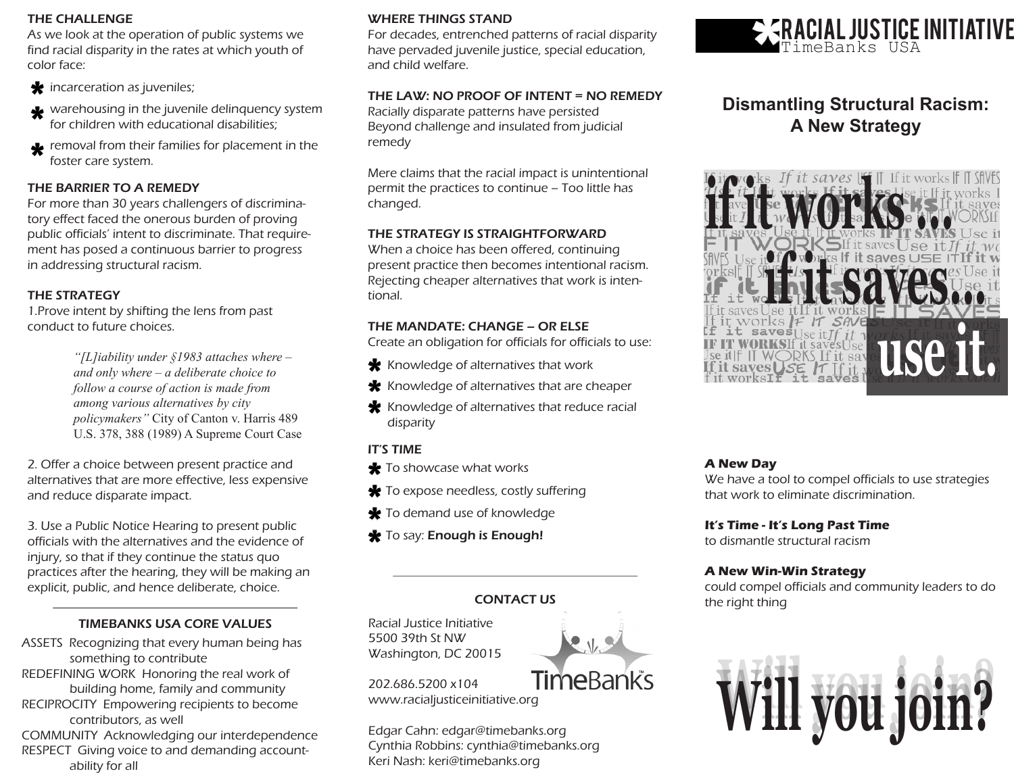#### THE CHALLENGE

As we look at the operation of public systems we find racial disparity in the rates at which youth of color face:

- **\*** incarceration as juveniles;
- warehousing in the juvenile delinquency system for children with educational disabilities;
- removal from their families for placement in the foster care system.

#### THE BARRIER TO A REMEDY

For more than 30 years challengers of discriminatory effect faced the onerous burden of proving public officials' intent to discriminate. That requirement has posed a continuous barrier to progress in addressing structural racism.

#### THE STRATEGY

1.Prove intent by shifting the lens from past conduct to future choices.

> *"[L]iability under §1983 attaches where – and only where – a deliberate choice to follow a course of action is made from among various alternatives by city policymakers"* City of Canton v. Harris 489 U.S. 378, 388 (1989) A Supreme Court Case

2. Offer a choice between present practice and alternatives that are more effective, less expensive and reduce disparate impact.

3. Use a Public Notice Hearing to present public officials with the alternatives and the evidence of injury, so that if they continue the status quo practices after the hearing, they will be making an explicit, public, and hence deliberate, choice.

#### TIMEBANKS USA CORE VALUES

- ASSETS Recognizing that every human being has something to contribute
- REDEFINING WORK Honoring the real work of building home, family and community
- RECIPROCITY Empowering recipients to become contributors, as well

COMMUNITY Acknowledging our interdependence RESPECT Giving voice to and demanding account ability for all

#### WHERE THINGS STAND

For decades, entrenched patterns of racial disparity have pervaded juvenile justice, special education, and child welfare.

#### THE LAW: NO PROOF OF INTENT = NO REMEDY

Racially disparate patterns have persisted Beyond challenge and insulated from judicial remedy

Mere claims that the racial impact is unintentional permit the practices to continue – Too little has changed.

#### THE STRATEGY IS STRAIGHTFORWARD

When a choice has been offered, continuing present practice then becomes intentional racism. Rejecting cheaper alternatives that work is intentional.

#### THE MANDATE: CHANGE – OR ELSE

Create an obligation for officials for officials to use:

- $\bigstar$  Knowledge of alternatives that work
- $\bigstar$  Knowledge of alternatives that are cheaper
- $\bigstar$  Knowledge of alternatives that reduce racial disparity

#### IT'S TIME

- **\*** To showcase what works
- $\bigstar$  To expose needless, costly suffering
- **\*** To demand use of knowledge
- \* To say: Enough is Enough!

### CONTACT US

Racial Justice Initiative 5500 39th St NW Washington, DC 20015

### 202.686.5200 x104

www.racialjusticeinitiative.org

Edgar Cahn: edgar@timebanks.org Cynthia Robbins: cynthia@timebanks.org Keri Nash: keri@timebanks.org





## **Dismantling Structural Racism: A New Strategy**



#### **A New Day**

We have a tool to compel officials to use strategies that work to eliminate discrimination.

#### **It's Time - It's Long Past Time**

to dismantle structural racism

#### **A New Win-Win Strategy**

could compel officials and community leaders to do the right thing